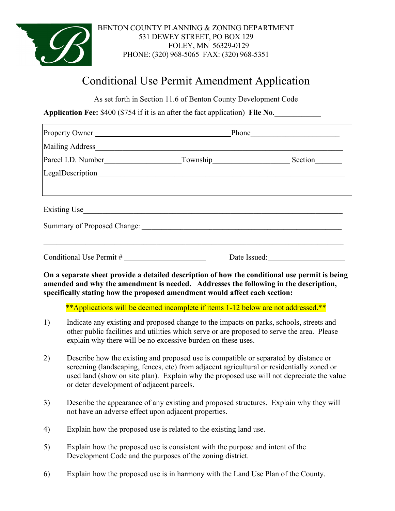

### BENTON COUNTY PLANNING & ZONING DEPARTMENT 531 DEWEY STREET, PO BOX 129 FOLEY, MN 56329-0129 PHONE: (320) 968-5065 FAX: (320) 968-5351

# Conditional Use Permit Amendment Application

As set forth in Section 11.6 of Benton County Development Code

**Application Fee:** \$400 (\$754 if it is an after the fact application) File No.

| Property Owner                                                                                                | Phone |         |
|---------------------------------------------------------------------------------------------------------------|-------|---------|
| Mailing Address Management and the Mailing Address                                                            |       |         |
|                                                                                                               |       | Section |
|                                                                                                               |       |         |
|                                                                                                               |       |         |
| Existing Use                                                                                                  |       |         |
| Summary of Proposed Change: 2008 - 2008 - 2008 - 2010 - 2010 - 2010 - 2010 - 2010 - 2010 - 2010 - 2010 - 2010 |       |         |
|                                                                                                               |       |         |
| Conditional Use Permit #                                                                                      |       |         |

**On a separate sheet provide a detailed description of how the conditional use permit is being amended and why the amendment is needed. Addresses the following in the description, specifically stating how the proposed amendment would affect each section:**

\*\*Applications will be deemed incomplete if items 1-12 below are not addressed.\*\*

- 1) Indicate any existing and proposed change to the impacts on parks, schools, streets and other public facilities and utilities which serve or are proposed to serve the area. Please explain why there will be no excessive burden on these uses.
- 2) Describe how the existing and proposed use is compatible or separated by distance or screening (landscaping, fences, etc) from adjacent agricultural or residentially zoned or used land (show on site plan). Explain why the proposed use will not depreciate the value or deter development of adjacent parcels.
- 3) Describe the appearance of any existing and proposed structures. Explain why they will not have an adverse effect upon adjacent properties.
- 4) Explain how the proposed use is related to the existing land use.
- 5) Explain how the proposed use is consistent with the purpose and intent of the Development Code and the purposes of the zoning district.
- 6) Explain how the proposed use is in harmony with the Land Use Plan of the County.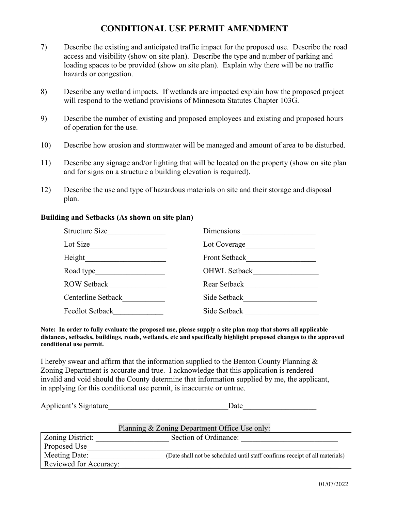# **CONDITIONAL USE PERMIT AMENDMENT**

- 7) Describe the existing and anticipated traffic impact for the proposed use. Describe the road access and visibility (show on site plan). Describe the type and number of parking and loading spaces to be provided (show on site plan). Explain why there will be no traffic hazards or congestion.
- 8) Describe any wetland impacts. If wetlands are impacted explain how the proposed project will respond to the wetland provisions of Minnesota Statutes Chapter 103G.
- 9) Describe the number of existing and proposed employees and existing and proposed hours of operation for the use.
- 10) Describe how erosion and stormwater will be managed and amount of area to be disturbed.
- 11) Describe any signage and/or lighting that will be located on the property (show on site plan and for signs on a structure a building elevation is required).
- 12) Describe the use and type of hazardous materials on site and their storage and disposal plan.

#### **Building and Setbacks (As shown on site plan)**

| <b>Structure Size</b>  | <b>Dimensions</b>    |
|------------------------|----------------------|
| Lot Size               | Lot Coverage         |
| Height                 | <b>Front Setback</b> |
| Road type              | <b>OHWL Setback</b>  |
| <b>ROW Setback</b>     | Rear Setback         |
| Centerline Setback     | Side Setback         |
| <b>Feedlot Setback</b> | Side Setback         |

**Note: In order to fully evaluate the proposed use, please supply a site plan map that shows all applicable distances, setbacks, buildings, roads, wetlands, etc and specifically highlight proposed changes to the approved conditional use permit.** 

I hereby swear and affirm that the information supplied to the Benton County Planning  $\&$ Zoning Department is accurate and true. I acknowledge that this application is rendered invalid and void should the County determine that information supplied by me, the applicant, in applying for this conditional use permit, is inaccurate or untrue.

Applicant's Signature Date

|                        | Planning & Zoning Department Office Use only:                               |
|------------------------|-----------------------------------------------------------------------------|
| Zoning District:       | Section of Ordinance:                                                       |
| Proposed Use           |                                                                             |
| Meeting Date:          | (Date shall not be scheduled until staff confirms receipt of all materials) |
| Reviewed for Accuracy: |                                                                             |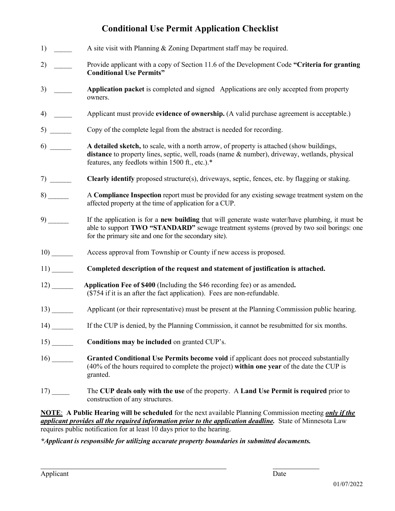# **Conditional Use Permit Application Checklist**

|                               | A site visit with Planning & Zoning Department staff may be required.                                                                                                                                                                                  |
|-------------------------------|--------------------------------------------------------------------------------------------------------------------------------------------------------------------------------------------------------------------------------------------------------|
| 2) $\qquad \qquad$            | Provide applicant with a copy of Section 11.6 of the Development Code "Criteria for granting<br><b>Conditional Use Permits"</b>                                                                                                                        |
| $3) \quad \underline{\qquad}$ | Application packet is completed and signed Applications are only accepted from property<br>owners.                                                                                                                                                     |
| 4)                            | Applicant must provide evidence of ownership. (A valid purchase agreement is acceptable.)                                                                                                                                                              |
|                               | Copy of the complete legal from the abstract is needed for recording.                                                                                                                                                                                  |
|                               | A detailed sketch, to scale, with a north arrow, of property is attached (show buildings,<br>distance to property lines, septic, well, roads (name & number), driveway, wetlands, physical<br>features, any feedlots within 1500 ft., etc.).*          |
|                               | <b>Clearly identify</b> proposed structure(s), driveways, septic, fences, etc. by flagging or staking.                                                                                                                                                 |
|                               | A Compliance Inspection report must be provided for any existing sewage treatment system on the<br>affected property at the time of application for a CUP.                                                                                             |
|                               | If the application is for a new building that will generate waste water/have plumbing, it must be<br>able to support TWO "STANDARD" sewage treatment systems (proved by two soil borings: one<br>for the primary site and one for the secondary site). |
|                               | Access approval from Township or County if new access is proposed.                                                                                                                                                                                     |
|                               | Completed description of the request and statement of justification is attached.                                                                                                                                                                       |
|                               | Application Fee of \$400 (Including the \$46 recording fee) or as amended.<br>(\$754 if it is an after the fact application). Fees are non-refundable.                                                                                                 |
|                               | Applicant (or their representative) must be present at the Planning Commission public hearing.                                                                                                                                                         |
|                               | If the CUP is denied, by the Planning Commission, it cannot be resubmitted for six months.                                                                                                                                                             |
|                               | Conditions may be included on granted CUP's.                                                                                                                                                                                                           |
| $16)$ <sub>______</sub>       | Granted Conditional Use Permits become void if applicant does not proceed substantially<br>(40% of the hours required to complete the project) within one year of the date the CUP is<br>granted.                                                      |
|                               | The CUP deals only with the use of the property. A Land Use Permit is required prior to<br>construction of any structures.                                                                                                                             |
|                               |                                                                                                                                                                                                                                                        |

**NOTE**: **A Public Hearing will be scheduled** for the next available Planning Commission meeting *only if the applicant provides all the required information prior to the application deadline.* State of Minnesota Law requires public notification for at least 10 days prior to the hearing.

*\*Applicant is responsible for utilizing accurate property boundaries in submitted documents.*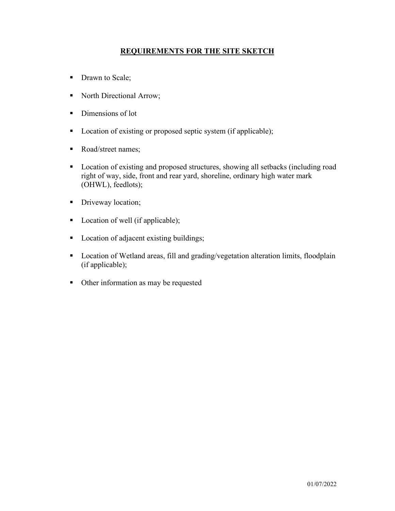## **REQUIREMENTS FOR THE SITE SKETCH**

- Drawn to Scale;
- North Directional Arrow;
- Dimensions of lot
- Location of existing or proposed septic system (if applicable);
- Road/street names;
- **Location of existing and proposed structures, showing all setbacks (including road** right of way, side, front and rear yard, shoreline, ordinary high water mark (OHWL), feedlots);
- Driveway location;
- Location of well (if applicable);
- Location of adjacent existing buildings;
- **Location of Wetland areas, fill and grading/vegetation alteration limits, floodplain** (if applicable);
- Other information as may be requested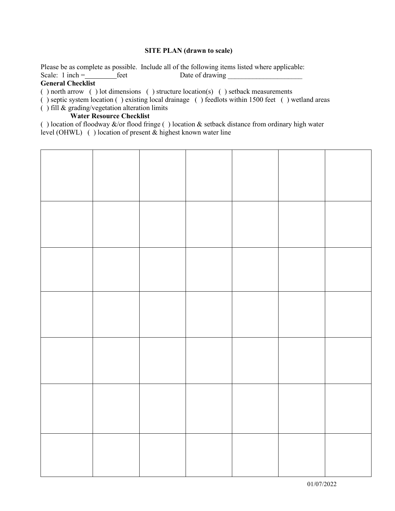#### **SITE PLAN (drawn to scale)**

Please be as complete as possible. Include all of the following items listed where applicable:<br>Scale: 1 inch =  $\qquad$  feet Date of drawing Freet Date of drawing

#### **General Checklist**

( ) north arrow ( ) lot dimensions ( ) structure location(s) ( ) setback measurements

( ) septic system location ( ) existing local drainage ( ) feedlots within 1500 feet ( ) wetland areas

( ) fill & grading/vegetation alteration limits

#### **Water Resource Checklist**

( ) location of floodway  $\&$ /or flood fringe ( ) location  $\&$  setback distance from ordinary high water level (OHWL) ( ) location of present & highest known water line

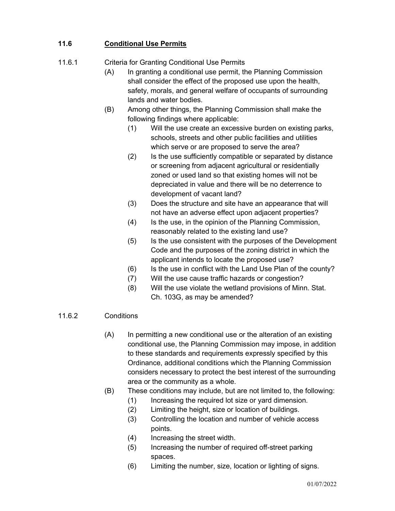# **11.6 Conditional Use Permits**

# 11.6.1 Criteria for Granting Conditional Use Permits

- (A) In granting a conditional use permit, the Planning Commission shall consider the effect of the proposed use upon the health, safety, morals, and general welfare of occupants of surrounding lands and water bodies.
- (B) Among other things, the Planning Commission shall make the following findings where applicable:
	- (1) Will the use create an excessive burden on existing parks, schools, streets and other public facilities and utilities which serve or are proposed to serve the area?
	- (2) Is the use sufficiently compatible or separated by distance or screening from adjacent agricultural or residentially zoned or used land so that existing homes will not be depreciated in value and there will be no deterrence to development of vacant land?
	- (3) Does the structure and site have an appearance that will not have an adverse effect upon adjacent properties?
	- (4) Is the use, in the opinion of the Planning Commission, reasonably related to the existing land use?
	- (5) Is the use consistent with the purposes of the Development Code and the purposes of the zoning district in which the applicant intends to locate the proposed use?
	- (6) Is the use in conflict with the Land Use Plan of the county?
	- (7) Will the use cause traffic hazards or congestion?
	- (8) Will the use violate the wetland provisions of Minn. Stat. Ch. 103G, as may be amended?

### 11.6.2 Conditions

- (A) In permitting a new conditional use or the alteration of an existing conditional use, the Planning Commission may impose, in addition to these standards and requirements expressly specified by this Ordinance, additional conditions which the Planning Commission considers necessary to protect the best interest of the surrounding area or the community as a whole.
- (B) These conditions may include, but are not limited to, the following:
	- (1) Increasing the required lot size or yard dimension.
	- (2) Limiting the height, size or location of buildings.
	- (3) Controlling the location and number of vehicle access points.
	- (4) Increasing the street width.
	- (5) Increasing the number of required off-street parking spaces.
	- (6) Limiting the number, size, location or lighting of signs.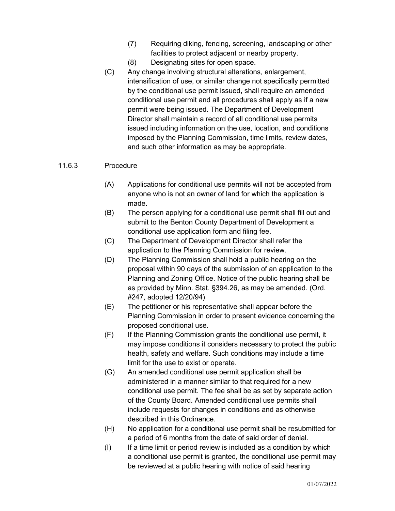- (7) Requiring diking, fencing, screening, landscaping or other facilities to protect adjacent or nearby property.
- (8) Designating sites for open space.
- (C) Any change involving structural alterations, enlargement, intensification of use, or similar change not specifically permitted by the conditional use permit issued, shall require an amended conditional use permit and all procedures shall apply as if a new permit were being issued. The Department of Development Director shall maintain a record of all conditional use permits issued including information on the use, location, and conditions imposed by the Planning Commission, time limits, review dates, and such other information as may be appropriate.

### 11.6.3 Procedure

- (A) Applications for conditional use permits will not be accepted from anyone who is not an owner of land for which the application is made.
- (B) The person applying for a conditional use permit shall fill out and submit to the Benton County Department of Development a conditional use application form and filing fee.
- (C) The Department of Development Director shall refer the application to the Planning Commission for review.
- (D) The Planning Commission shall hold a public hearing on the proposal within 90 days of the submission of an application to the Planning and Zoning Office. Notice of the public hearing shall be as provided by Minn. Stat. §394.26, as may be amended. (Ord. #247, adopted 12/20/94)
- (E) The petitioner or his representative shall appear before the Planning Commission in order to present evidence concerning the proposed conditional use.
- (F) If the Planning Commission grants the conditional use permit, it may impose conditions it considers necessary to protect the public health, safety and welfare. Such conditions may include a time limit for the use to exist or operate.
- (G) An amended conditional use permit application shall be administered in a manner similar to that required for a new conditional use permit. The fee shall be as set by separate action of the County Board. Amended conditional use permits shall include requests for changes in conditions and as otherwise described in this Ordinance.
- (H) No application for a conditional use permit shall be resubmitted for a period of 6 months from the date of said order of denial.
- (I) If a time limit or period review is included as a condition by which a conditional use permit is granted, the conditional use permit may be reviewed at a public hearing with notice of said hearing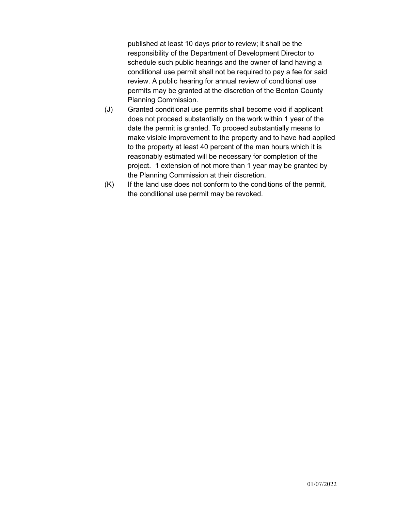published at least 10 days prior to review; it shall be the responsibility of the Department of Development Director to schedule such public hearings and the owner of land having a conditional use permit shall not be required to pay a fee for said review. A public hearing for annual review of conditional use permits may be granted at the discretion of the Benton County Planning Commission.

- (J) Granted conditional use permits shall become void if applicant does not proceed substantially on the work within 1 year of the date the permit is granted. To proceed substantially means to make visible improvement to the property and to have had applied to the property at least 40 percent of the man hours which it is reasonably estimated will be necessary for completion of the project. 1 extension of not more than 1 year may be granted by the Planning Commission at their discretion.
- (K) If the land use does not conform to the conditions of the permit, the conditional use permit may be revoked.